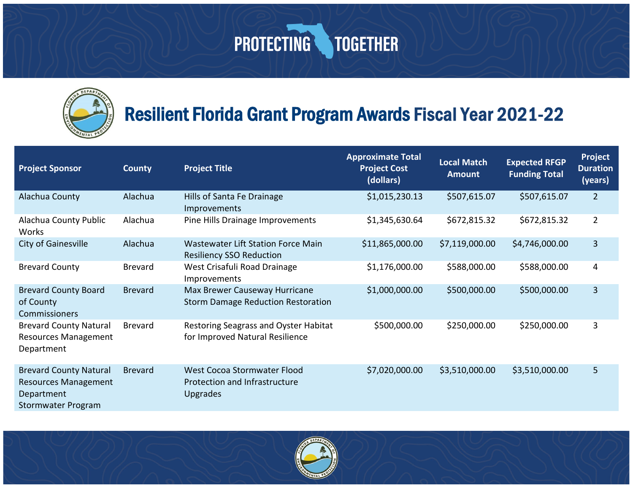

#### Resilient Florida Grant Program Awards Fiscal Year 2021-22

| <b>Project Sponsor</b>                                                                           | <b>County</b>  | <b>Project Title</b>                                                            | <b>Approximate Total</b><br><b>Project Cost</b><br>(dollars) | <b>Local Match</b><br><b>Amount</b> | <b>Expected RFGP</b><br><b>Funding Total</b> | <b>Project</b><br><b>Duration</b><br>(years) |
|--------------------------------------------------------------------------------------------------|----------------|---------------------------------------------------------------------------------|--------------------------------------------------------------|-------------------------------------|----------------------------------------------|----------------------------------------------|
| Alachua County                                                                                   | Alachua        | Hills of Santa Fe Drainage<br>Improvements                                      | \$1,015,230.13                                               | \$507,615.07                        | \$507,615.07                                 | $\overline{2}$                               |
| Alachua County Public<br>Works                                                                   | Alachua        | Pine Hills Drainage Improvements                                                | \$1,345,630.64                                               | \$672,815.32                        | \$672,815.32                                 | $\overline{2}$                               |
| City of Gainesville                                                                              | Alachua        | <b>Wastewater Lift Station Force Main</b><br><b>Resiliency SSO Reduction</b>    | \$11,865,000.00                                              | \$7,119,000.00                      | \$4,746,000.00                               | 3                                            |
| <b>Brevard County</b>                                                                            | <b>Brevard</b> | West Crisafuli Road Drainage<br>Improvements                                    | \$1,176,000.00                                               | \$588,000.00                        | \$588,000.00                                 | 4                                            |
| <b>Brevard County Board</b><br>of County<br>Commissioners                                        | <b>Brevard</b> | Max Brewer Causeway Hurricane<br><b>Storm Damage Reduction Restoration</b>      | \$1,000,000.00                                               | \$500,000.00                        | \$500,000.00                                 | 3                                            |
| <b>Brevard County Natural</b><br><b>Resources Management</b><br>Department                       | <b>Brevard</b> | Restoring Seagrass and Oyster Habitat<br>for Improved Natural Resilience        | \$500,000.00                                                 | \$250,000.00                        | \$250,000.00                                 | 3                                            |
| <b>Brevard County Natural</b><br><b>Resources Management</b><br>Department<br>Stormwater Program | <b>Brevard</b> | West Cocoa Stormwater Flood<br>Protection and Infrastructure<br><b>Upgrades</b> | \$7,020,000.00                                               | \$3,510,000.00                      | \$3,510,000.00                               | 5                                            |

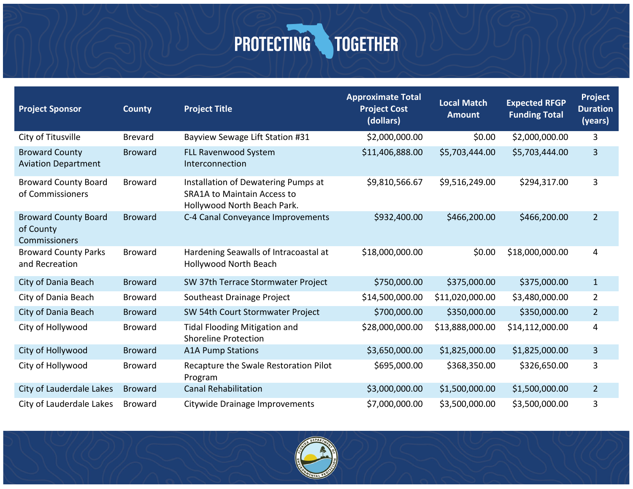| <b>Project Sponsor</b>                                    | <b>County</b>  | <b>Project Title</b>                                                                                     | <b>Approximate Total</b><br><b>Project Cost</b><br>(dollars) | <b>Local Match</b><br><b>Amount</b> | <b>Expected RFGP</b><br><b>Funding Total</b> | <b>Project</b><br><b>Duration</b><br>(years) |
|-----------------------------------------------------------|----------------|----------------------------------------------------------------------------------------------------------|--------------------------------------------------------------|-------------------------------------|----------------------------------------------|----------------------------------------------|
| City of Titusville                                        | <b>Brevard</b> | Bayview Sewage Lift Station #31                                                                          | \$2,000,000.00                                               | \$0.00                              | \$2,000,000.00                               | 3                                            |
| <b>Broward County</b><br><b>Aviation Department</b>       | <b>Broward</b> | <b>FLL Ravenwood System</b><br>Interconnection                                                           | \$11,406,888.00                                              | \$5,703,444.00                      | \$5,703,444.00                               | 3                                            |
| <b>Broward County Board</b><br>of Commissioners           | <b>Broward</b> | Installation of Dewatering Pumps at<br><b>SRA1A to Maintain Access to</b><br>Hollywood North Beach Park. | \$9,810,566.67                                               | \$9,516,249.00                      | \$294,317.00                                 | 3                                            |
| <b>Broward County Board</b><br>of County<br>Commissioners | <b>Broward</b> | C-4 Canal Conveyance Improvements                                                                        | \$932,400.00                                                 | \$466,200.00                        | \$466,200.00                                 | $\overline{2}$                               |
| <b>Broward County Parks</b><br>and Recreation             | <b>Broward</b> | Hardening Seawalls of Intracoastal at<br>Hollywood North Beach                                           | \$18,000,000.00                                              | \$0.00                              | \$18,000,000.00                              | 4                                            |
| City of Dania Beach                                       | <b>Broward</b> | SW 37th Terrace Stormwater Project                                                                       | \$750,000.00                                                 | \$375,000.00                        | \$375,000.00                                 | $\mathbf{1}$                                 |
| City of Dania Beach                                       | <b>Broward</b> | Southeast Drainage Project                                                                               | \$14,500,000.00                                              | \$11,020,000.00                     | \$3,480,000.00                               | $\overline{2}$                               |
| City of Dania Beach                                       | <b>Broward</b> | SW 54th Court Stormwater Project                                                                         | \$700,000.00                                                 | \$350,000.00                        | \$350,000.00                                 | 2 <sup>2</sup>                               |
| City of Hollywood                                         | <b>Broward</b> | <b>Tidal Flooding Mitigation and</b><br><b>Shoreline Protection</b>                                      | \$28,000,000.00                                              | \$13,888,000.00                     | \$14,112,000.00                              | 4                                            |
| City of Hollywood                                         | <b>Broward</b> | <b>A1A Pump Stations</b>                                                                                 | \$3,650,000.00                                               | \$1,825,000.00                      | \$1,825,000.00                               | 3                                            |
| City of Hollywood                                         | <b>Broward</b> | Recapture the Swale Restoration Pilot<br>Program                                                         | \$695,000.00                                                 | \$368,350.00                        | \$326,650.00                                 | 3                                            |
| City of Lauderdale Lakes                                  | <b>Broward</b> | <b>Canal Rehabilitation</b>                                                                              | \$3,000,000.00                                               | \$1,500,000.00                      | \$1,500,000.00                               | $\overline{2}$                               |
| City of Lauderdale Lakes                                  | <b>Broward</b> | Citywide Drainage Improvements                                                                           | \$7,000,000.00                                               | \$3,500,000.00                      | \$3,500,000.00                               | 3                                            |

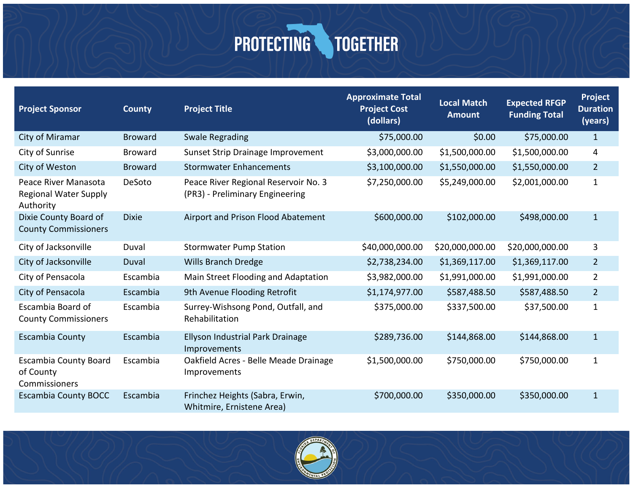| <b>Project Sponsor</b>                                            | <b>County</b>  | <b>Project Title</b>                                                    | <b>Approximate Total</b><br><b>Project Cost</b><br>(dollars) | <b>Local Match</b><br><b>Amount</b> | <b>Expected RFGP</b><br><b>Funding Total</b> | Project<br><b>Duration</b><br>(years) |
|-------------------------------------------------------------------|----------------|-------------------------------------------------------------------------|--------------------------------------------------------------|-------------------------------------|----------------------------------------------|---------------------------------------|
| City of Miramar                                                   | <b>Broward</b> | <b>Swale Regrading</b>                                                  | \$75,000.00                                                  | \$0.00                              | \$75,000.00                                  | $\mathbf{1}$                          |
| City of Sunrise                                                   | <b>Broward</b> | Sunset Strip Drainage Improvement                                       | \$3,000,000.00                                               | \$1,500,000.00                      | \$1,500,000.00                               | 4                                     |
| City of Weston                                                    | <b>Broward</b> | <b>Stormwater Enhancements</b>                                          | \$3,100,000.00                                               | \$1,550,000.00                      | \$1,550,000.00                               | $\overline{2}$                        |
| Peace River Manasota<br><b>Regional Water Supply</b><br>Authority | DeSoto         | Peace River Regional Reservoir No. 3<br>(PR3) - Preliminary Engineering | \$7,250,000.00                                               | \$5,249,000.00                      | \$2,001,000.00                               | $\mathbf{1}$                          |
| Dixie County Board of<br><b>County Commissioners</b>              | <b>Dixie</b>   | Airport and Prison Flood Abatement                                      | \$600,000.00                                                 | \$102,000.00                        | \$498,000.00                                 | $\mathbf{1}$                          |
| City of Jacksonville                                              | Duval          | <b>Stormwater Pump Station</b>                                          | \$40,000,000.00                                              | \$20,000,000.00                     | \$20,000,000.00                              | 3                                     |
| City of Jacksonville                                              | Duval          | <b>Wills Branch Dredge</b>                                              | \$2,738,234.00                                               | \$1,369,117.00                      | \$1,369,117.00                               | $\overline{2}$                        |
| City of Pensacola                                                 | Escambia       | Main Street Flooding and Adaptation                                     | \$3,982,000.00                                               | \$1,991,000.00                      | \$1,991,000.00                               | $\overline{2}$                        |
| City of Pensacola                                                 | Escambia       | 9th Avenue Flooding Retrofit                                            | \$1,174,977.00                                               | \$587,488.50                        | \$587,488.50                                 | $\overline{2}$                        |
| Escambia Board of<br><b>County Commissioners</b>                  | Escambia       | Surrey-Wishsong Pond, Outfall, and<br>Rehabilitation                    | \$375,000.00                                                 | \$337,500.00                        | \$37,500.00                                  | $\mathbf{1}$                          |
| <b>Escambia County</b>                                            | Escambia       | Ellyson Industrial Park Drainage<br>Improvements                        | \$289,736.00                                                 | \$144,868.00                        | \$144,868.00                                 | $\mathbf{1}$                          |
| <b>Escambia County Board</b><br>of County<br>Commissioners        | Escambia       | Oakfield Acres - Belle Meade Drainage<br>Improvements                   | \$1,500,000.00                                               | \$750,000.00                        | \$750,000.00                                 | $\mathbf{1}$                          |
| <b>Escambia County BOCC</b>                                       | Escambia       | Frinchez Heights (Sabra, Erwin,<br>Whitmire, Ernistene Area)            | \$700,000.00                                                 | \$350,000.00                        | \$350,000.00                                 | $\mathbf{1}$                          |

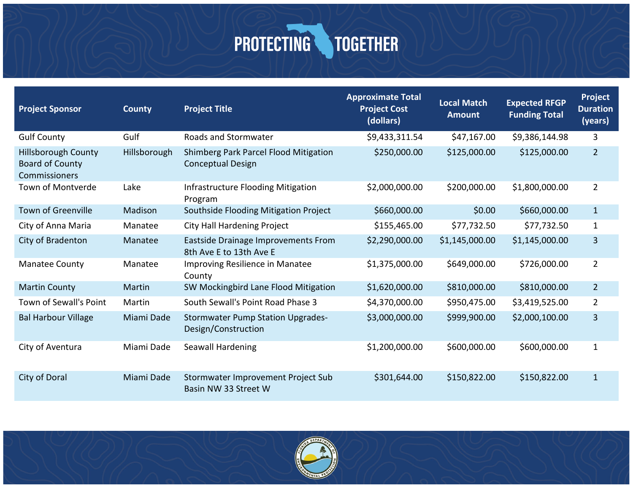| <b>Project Sponsor</b>                                                | <b>County</b> | <b>Project Title</b>                                              | <b>Approximate Total</b><br><b>Project Cost</b><br>(dollars) | <b>Local Match</b><br><b>Amount</b> | <b>Expected RFGP</b><br><b>Funding Total</b> | Project<br><b>Duration</b><br>(years) |
|-----------------------------------------------------------------------|---------------|-------------------------------------------------------------------|--------------------------------------------------------------|-------------------------------------|----------------------------------------------|---------------------------------------|
| <b>Gulf County</b>                                                    | Gulf          | Roads and Stormwater                                              | \$9,433,311.54                                               | \$47,167.00                         | \$9,386,144.98                               | 3                                     |
| <b>Hillsborough County</b><br><b>Board of County</b><br>Commissioners | Hillsborough  | Shimberg Park Parcel Flood Mitigation<br><b>Conceptual Design</b> | \$250,000.00                                                 | \$125,000.00                        | \$125,000.00                                 | $\overline{2}$                        |
| Town of Montverde                                                     | Lake          | Infrastructure Flooding Mitigation<br>Program                     | \$2,000,000.00                                               | \$200,000.00                        | \$1,800,000.00                               | $\overline{2}$                        |
| <b>Town of Greenville</b>                                             | Madison       | Southside Flooding Mitigation Project                             | \$660,000.00                                                 | \$0.00                              | \$660,000.00                                 | $\mathbf{1}$                          |
| City of Anna Maria                                                    | Manatee       | <b>City Hall Hardening Project</b>                                | \$155,465.00                                                 | \$77,732.50                         | \$77,732.50                                  | $\mathbf{1}$                          |
| City of Bradenton                                                     | Manatee       | Eastside Drainage Improvements From<br>8th Ave E to 13th Ave E    | \$2,290,000.00                                               | \$1,145,000.00                      | \$1,145,000.00                               | $\overline{3}$                        |
| Manatee County                                                        | Manatee       | Improving Resilience in Manatee<br>County                         | \$1,375,000.00                                               | \$649,000.00                        | \$726,000.00                                 | $\overline{2}$                        |
| <b>Martin County</b>                                                  | Martin        | SW Mockingbird Lane Flood Mitigation                              | \$1,620,000.00                                               | \$810,000.00                        | \$810,000.00                                 | $\overline{2}$                        |
| Town of Sewall's Point                                                | Martin        | South Sewall's Point Road Phase 3                                 | \$4,370,000.00                                               | \$950,475.00                        | \$3,419,525.00                               | $\overline{2}$                        |
| <b>Bal Harbour Village</b>                                            | Miami Dade    | <b>Stormwater Pump Station Upgrades-</b><br>Design/Construction   | \$3,000,000.00                                               | \$999,900.00                        | \$2,000,100.00                               | 3                                     |
| City of Aventura                                                      | Miami Dade    | Seawall Hardening                                                 | \$1,200,000.00                                               | \$600,000.00                        | \$600,000.00                                 | $\mathbf{1}$                          |
| City of Doral                                                         | Miami Dade    | Stormwater Improvement Project Sub<br>Basin NW 33 Street W        | \$301,644.00                                                 | \$150,822.00                        | \$150,822.00                                 | $\mathbf{1}$                          |

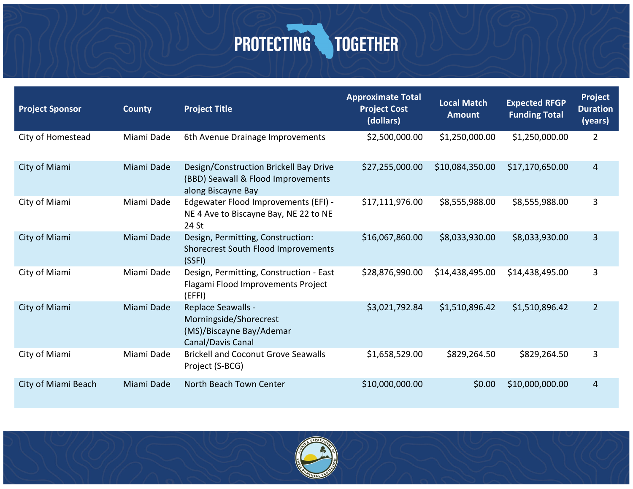| <b>Project Sponsor</b> | <b>County</b> | <b>Project Title</b>                                                                               | <b>Approximate Total</b><br><b>Project Cost</b><br>(dollars) | <b>Local Match</b><br><b>Amount</b> | <b>Expected RFGP</b><br><b>Funding Total</b> | Project<br><b>Duration</b><br>(years) |
|------------------------|---------------|----------------------------------------------------------------------------------------------------|--------------------------------------------------------------|-------------------------------------|----------------------------------------------|---------------------------------------|
| City of Homestead      | Miami Dade    | 6th Avenue Drainage Improvements                                                                   | \$2,500,000.00                                               | \$1,250,000.00                      | \$1,250,000.00                               | $\overline{2}$                        |
| City of Miami          | Miami Dade    | Design/Construction Brickell Bay Drive<br>(BBD) Seawall & Flood Improvements<br>along Biscayne Bay | \$27,255,000.00                                              | \$10,084,350.00                     | \$17,170,650.00                              | 4                                     |
| City of Miami          | Miami Dade    | Edgewater Flood Improvements (EFI) -<br>NE 4 Ave to Biscayne Bay, NE 22 to NE<br>24 St             | \$17,111,976.00                                              | \$8,555,988.00                      | \$8,555,988.00                               | 3                                     |
| City of Miami          | Miami Dade    | Design, Permitting, Construction:<br>Shorecrest South Flood Improvements<br>(SSFI)                 | \$16,067,860.00                                              | \$8,033,930.00                      | \$8,033,930.00                               | 3                                     |
| City of Miami          | Miami Dade    | Design, Permitting, Construction - East<br>Flagami Flood Improvements Project<br>(EFFI)            | \$28,876,990.00                                              | \$14,438,495.00                     | \$14,438,495.00                              | 3                                     |
| City of Miami          | Miami Dade    | Replace Seawalls -<br>Morningside/Shorecrest<br>(MS)/Biscayne Bay/Ademar<br>Canal/Davis Canal      | \$3,021,792.84                                               | \$1,510,896.42                      | \$1,510,896.42                               | $\overline{2}$                        |
| City of Miami          | Miami Dade    | <b>Brickell and Coconut Grove Seawalls</b><br>Project (S-BCG)                                      | \$1,658,529.00                                               | \$829,264.50                        | \$829,264.50                                 | 3                                     |
| City of Miami Beach    | Miami Dade    | North Beach Town Center                                                                            | \$10,000,000.00                                              | \$0.00                              | \$10,000,000.00                              | 4                                     |

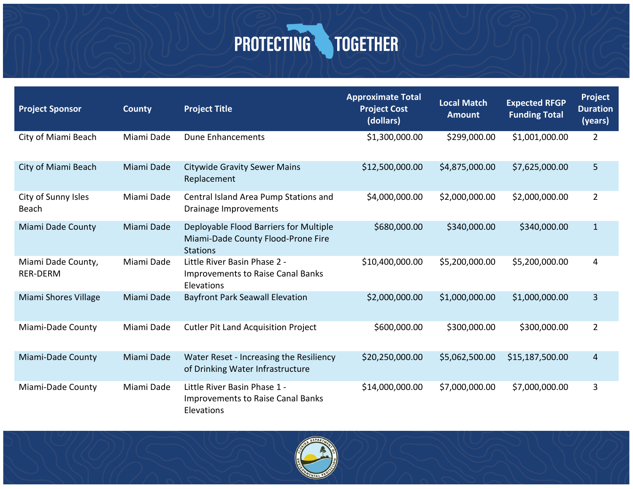| <b>Project Sponsor</b>                | <b>County</b> | <b>Project Title</b>                                                                            | <b>Approximate Total</b><br><b>Project Cost</b><br>(dollars) | <b>Local Match</b><br>Amount | <b>Expected RFGP</b><br><b>Funding Total</b> | Project<br><b>Duration</b><br>(years) |
|---------------------------------------|---------------|-------------------------------------------------------------------------------------------------|--------------------------------------------------------------|------------------------------|----------------------------------------------|---------------------------------------|
| City of Miami Beach                   | Miami Dade    | <b>Dune Enhancements</b>                                                                        | \$1,300,000.00                                               | \$299,000.00                 | \$1,001,000.00                               | $\overline{2}$                        |
| City of Miami Beach                   | Miami Dade    | <b>Citywide Gravity Sewer Mains</b><br>Replacement                                              | \$12,500,000.00                                              | \$4,875,000.00               | \$7,625,000.00                               | 5                                     |
| City of Sunny Isles<br>Beach          | Miami Dade    | Central Island Area Pump Stations and<br>Drainage Improvements                                  | \$4,000,000.00                                               | \$2,000,000.00               | \$2,000,000.00                               | $\overline{2}$                        |
| <b>Miami Dade County</b>              | Miami Dade    | Deployable Flood Barriers for Multiple<br>Miami-Dade County Flood-Prone Fire<br><b>Stations</b> | \$680,000.00                                                 | \$340,000.00                 | \$340,000.00                                 | $\mathbf{1}$                          |
| Miami Dade County,<br><b>RER-DERM</b> | Miami Dade    | Little River Basin Phase 2 -<br><b>Improvements to Raise Canal Banks</b><br>Elevations          | \$10,400,000.00                                              | \$5,200,000.00               | \$5,200,000.00                               | 4                                     |
| Miami Shores Village                  | Miami Dade    | <b>Bayfront Park Seawall Elevation</b>                                                          | \$2,000,000.00                                               | \$1,000,000.00               | \$1,000,000.00                               | 3                                     |
| Miami-Dade County                     | Miami Dade    | <b>Cutler Pit Land Acquisition Project</b>                                                      | \$600,000.00                                                 | \$300,000.00                 | \$300,000.00                                 | $\overline{2}$                        |
| Miami-Dade County                     | Miami Dade    | Water Reset - Increasing the Resiliency<br>of Drinking Water Infrastructure                     | \$20,250,000.00                                              | \$5,062,500.00               | \$15,187,500.00                              | 4                                     |
| Miami-Dade County                     | Miami Dade    | Little River Basin Phase 1 -<br><b>Improvements to Raise Canal Banks</b><br>Elevations          | \$14,000,000.00                                              | \$7,000,000.00               | \$7,000,000.00                               | 3                                     |



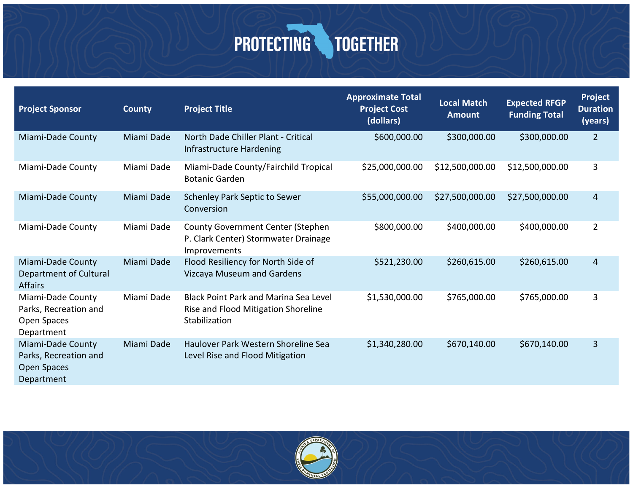| <b>Project Sponsor</b>                                                  | <b>County</b> | <b>Project Title</b>                                                                                 | <b>Approximate Total</b><br><b>Project Cost</b><br>(dollars) | <b>Local Match</b><br><b>Amount</b> | <b>Expected RFGP</b><br><b>Funding Total</b> | <b>Project</b><br><b>Duration</b><br>(years) |
|-------------------------------------------------------------------------|---------------|------------------------------------------------------------------------------------------------------|--------------------------------------------------------------|-------------------------------------|----------------------------------------------|----------------------------------------------|
| Miami-Dade County                                                       | Miami Dade    | North Dade Chiller Plant - Critical<br>Infrastructure Hardening                                      | \$600,000.00                                                 | \$300,000.00                        | \$300,000.00                                 | $\overline{2}$                               |
| Miami-Dade County                                                       | Miami Dade    | Miami-Dade County/Fairchild Tropical<br><b>Botanic Garden</b>                                        | \$25,000,000.00                                              | \$12,500,000.00                     | \$12,500,000.00                              | 3                                            |
| Miami-Dade County                                                       | Miami Dade    | <b>Schenley Park Septic to Sewer</b><br>Conversion                                                   | \$55,000,000.00                                              | \$27,500,000.00                     | \$27,500,000.00                              | 4                                            |
| Miami-Dade County                                                       | Miami Dade    | <b>County Government Center (Stephen</b><br>P. Clark Center) Stormwater Drainage<br>Improvements     | \$800,000.00                                                 | \$400,000.00                        | \$400,000.00                                 | $\overline{2}$                               |
| Miami-Dade County<br>Department of Cultural<br><b>Affairs</b>           | Miami Dade    | Flood Resiliency for North Side of<br>Vizcaya Museum and Gardens                                     | \$521,230.00                                                 | \$260,615.00                        | \$260,615.00                                 | 4                                            |
| Miami-Dade County<br>Parks, Recreation and<br>Open Spaces<br>Department | Miami Dade    | <b>Black Point Park and Marina Sea Level</b><br>Rise and Flood Mitigation Shoreline<br>Stabilization | \$1,530,000.00                                               | \$765,000.00                        | \$765,000.00                                 | 3                                            |
| Miami-Dade County<br>Parks, Recreation and<br>Open Spaces<br>Department | Miami Dade    | Haulover Park Western Shoreline Sea<br>Level Rise and Flood Mitigation                               | \$1,340,280.00                                               | \$670,140.00                        | \$670,140.00                                 | 3                                            |

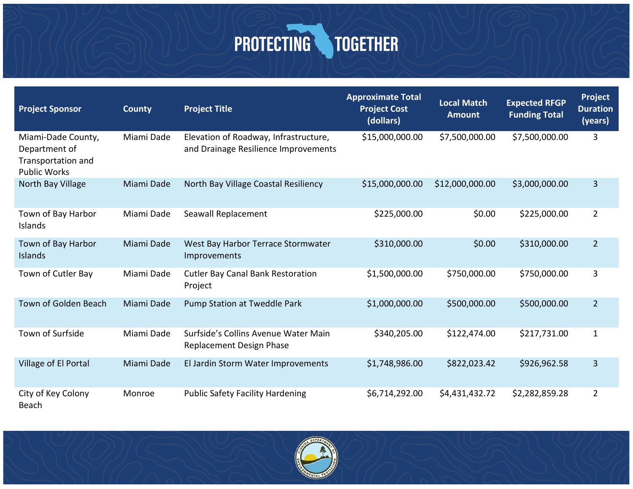| <b>Project Sponsor</b>                                                           | <b>County</b> | <b>Project Title</b>                                                          | <b>Approximate Total</b><br><b>Project Cost</b><br>(dollars) | <b>Local Match</b><br><b>Amount</b> | <b>Expected RFGP</b><br><b>Funding Total</b> | Project<br><b>Duration</b><br>(years) |
|----------------------------------------------------------------------------------|---------------|-------------------------------------------------------------------------------|--------------------------------------------------------------|-------------------------------------|----------------------------------------------|---------------------------------------|
| Miami-Dade County,<br>Department of<br>Transportation and<br><b>Public Works</b> | Miami Dade    | Elevation of Roadway, Infrastructure,<br>and Drainage Resilience Improvements | \$15,000,000.00                                              | \$7,500,000.00                      | \$7,500,000.00                               | 3                                     |
| North Bay Village                                                                | Miami Dade    | North Bay Village Coastal Resiliency                                          | \$15,000,000.00                                              | \$12,000,000.00                     | \$3,000,000.00                               | 3                                     |
| Town of Bay Harbor<br>Islands                                                    | Miami Dade    | Seawall Replacement                                                           | \$225,000.00                                                 | \$0.00                              | \$225,000.00                                 | $\overline{2}$                        |
| Town of Bay Harbor<br>Islands                                                    | Miami Dade    | West Bay Harbor Terrace Stormwater<br>Improvements                            | \$310,000.00                                                 | \$0.00                              | \$310,000.00                                 | $\overline{2}$                        |
| Town of Cutler Bay                                                               | Miami Dade    | <b>Cutler Bay Canal Bank Restoration</b><br>Project                           | \$1,500,000.00                                               | \$750,000.00                        | \$750,000.00                                 | 3                                     |
| Town of Golden Beach                                                             | Miami Dade    | Pump Station at Tweddle Park                                                  | \$1,000,000.00                                               | \$500,000.00                        | \$500,000.00                                 | $\overline{2}$                        |
| Town of Surfside                                                                 | Miami Dade    | Surfside's Collins Avenue Water Main<br><b>Replacement Design Phase</b>       | \$340,205.00                                                 | \$122,474.00                        | \$217,731.00                                 | $\mathbf{1}$                          |
| Village of El Portal                                                             | Miami Dade    | El Jardin Storm Water Improvements                                            | \$1,748,986.00                                               | \$822,023.42                        | \$926,962.58                                 | 3                                     |
| City of Key Colony<br>Beach                                                      | Monroe        | <b>Public Safety Facility Hardening</b>                                       | \$6,714,292.00                                               | \$4,431,432.72                      | \$2,282,859.28                               | $\overline{2}$                        |

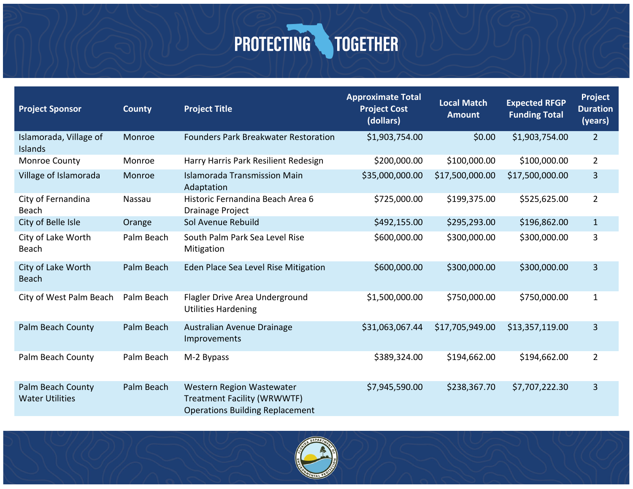| <b>Project Sponsor</b>                      | <b>County</b> | <b>Project Title</b>                                                                                      | <b>Approximate Total</b><br><b>Project Cost</b><br>(dollars) | <b>Local Match</b><br><b>Amount</b> | <b>Expected RFGP</b><br><b>Funding Total</b> | <b>Project</b><br><b>Duration</b><br>(years) |
|---------------------------------------------|---------------|-----------------------------------------------------------------------------------------------------------|--------------------------------------------------------------|-------------------------------------|----------------------------------------------|----------------------------------------------|
| Islamorada, Village of<br>Islands           | Monroe        | <b>Founders Park Breakwater Restoration</b>                                                               | \$1,903,754.00                                               | \$0.00                              | \$1,903,754.00                               | $\overline{2}$                               |
| Monroe County                               | Monroe        | Harry Harris Park Resilient Redesign                                                                      | \$200,000.00                                                 | \$100,000.00                        | \$100,000.00                                 | $\overline{2}$                               |
| Village of Islamorada                       | Monroe        | <b>Islamorada Transmission Main</b><br>Adaptation                                                         | \$35,000,000.00                                              | \$17,500,000.00                     | \$17,500,000.00                              | 3                                            |
| City of Fernandina<br><b>Beach</b>          | Nassau        | Historic Fernandina Beach Area 6<br>Drainage Project                                                      | \$725,000.00                                                 | \$199,375.00                        | \$525,625.00                                 | $\overline{2}$                               |
| City of Belle Isle                          | Orange        | Sol Avenue Rebuild                                                                                        | \$492,155.00                                                 | \$295,293.00                        | \$196,862.00                                 | $\mathbf{1}$                                 |
| City of Lake Worth<br><b>Beach</b>          | Palm Beach    | South Palm Park Sea Level Rise<br>Mitigation                                                              | \$600,000.00                                                 | \$300,000.00                        | \$300,000.00                                 | 3                                            |
| City of Lake Worth<br><b>Beach</b>          | Palm Beach    | Eden Place Sea Level Rise Mitigation                                                                      | \$600,000.00                                                 | \$300,000.00                        | \$300,000.00                                 | 3                                            |
| City of West Palm Beach                     | Palm Beach    | Flagler Drive Area Underground<br><b>Utilities Hardening</b>                                              | \$1,500,000.00                                               | \$750,000.00                        | \$750,000.00                                 | $\mathbf{1}$                                 |
| Palm Beach County                           | Palm Beach    | Australian Avenue Drainage<br>Improvements                                                                | \$31,063,067.44                                              | \$17,705,949.00                     | \$13,357,119.00                              | 3                                            |
| Palm Beach County                           | Palm Beach    | M-2 Bypass                                                                                                | \$389,324.00                                                 | \$194,662.00                        | \$194,662.00                                 | $\overline{2}$                               |
| Palm Beach County<br><b>Water Utilities</b> | Palm Beach    | Western Region Wastewater<br><b>Treatment Facility (WRWWTF)</b><br><b>Operations Building Replacement</b> | \$7,945,590.00                                               | \$238,367.70                        | \$7,707,222.30                               | 3                                            |

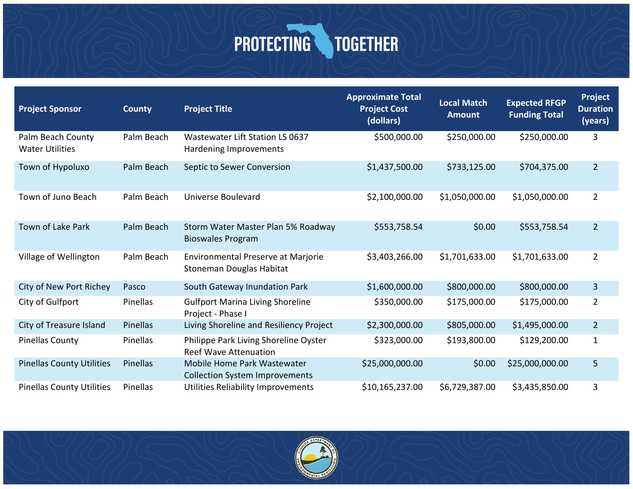| <b>Project Sponsor</b>                      | <b>County</b>   | <b>Project Title</b>                                                        | <b>Approximate Total</b><br><b>Project Cost</b><br>(dollars) | <b>Local Match</b><br><b>Amount</b> | <b>Expected RFGP</b><br><b>Funding Total</b> | <b>Project</b><br><b>Duration</b><br>(years) |
|---------------------------------------------|-----------------|-----------------------------------------------------------------------------|--------------------------------------------------------------|-------------------------------------|----------------------------------------------|----------------------------------------------|
| Palm Beach County<br><b>Water Utilities</b> | Palm Beach      | Wastewater Lift Station LS 0637<br>Hardening Improvements                   | \$500,000.00                                                 | \$250,000.00                        | \$250,000.00                                 | 3                                            |
| Town of Hypoluxo                            | Palm Beach      | Septic to Sewer Conversion                                                  | \$1,437,500.00                                               | \$733,125.00                        | \$704,375.00                                 | $\overline{2}$                               |
| Town of Juno Beach                          | Palm Beach      | Universe Boulevard                                                          | \$2,100,000.00                                               | \$1,050,000.00                      | \$1,050,000.00                               | $\overline{2}$                               |
| <b>Town of Lake Park</b>                    | Palm Beach      | Storm Water Master Plan 5% Roadway<br><b>Bioswales Program</b>              | \$553,758.54                                                 | \$0.00                              | \$553,758.54                                 | $\overline{2}$                               |
| Village of Wellington                       | Palm Beach      | <b>Environmental Preserve at Marjorie</b><br>Stoneman Douglas Habitat       | \$3,403,266.00                                               | \$1,701,633.00                      | \$1,701,633.00                               | $\overline{2}$                               |
| City of New Port Richey                     | Pasco           | South Gateway Inundation Park                                               | \$1,600,000.00                                               | \$800,000.00                        | \$800,000.00                                 | 3                                            |
| City of Gulfport                            | Pinellas        | <b>Gulfport Marina Living Shoreline</b><br>Project - Phase I                | \$350,000.00                                                 | \$175,000.00                        | \$175,000.00                                 | $\overline{2}$                               |
| City of Treasure Island                     | <b>Pinellas</b> | Living Shoreline and Resiliency Project                                     | \$2,300,000.00                                               | \$805,000.00                        | \$1,495,000.00                               | $\overline{2}$                               |
| <b>Pinellas County</b>                      | Pinellas        | Philippe Park Living Shoreline Oyster<br><b>Reef Wave Attenuation</b>       | \$323,000.00                                                 | \$193,800.00                        | \$129,200.00                                 | $\mathbf{1}$                                 |
| <b>Pinellas County Utilities</b>            | <b>Pinellas</b> | <b>Mobile Home Park Wastewater</b><br><b>Collection System Improvements</b> | \$25,000,000.00                                              | \$0.00                              | \$25,000,000.00                              | 5                                            |
| <b>Pinellas County Utilities</b>            | Pinellas        | Utilities Reliability Improvements                                          | \$10,165,237.00                                              | \$6,729,387.00                      | \$3,435,850.00                               | 3                                            |

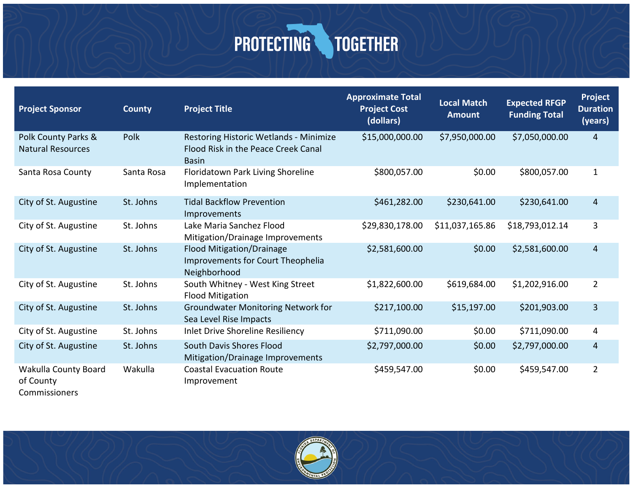| <b>Project Sponsor</b>                             | <b>County</b> | <b>Project Title</b>                                                                          | <b>Approximate Total</b><br><b>Project Cost</b><br>(dollars) | <b>Local Match</b><br><b>Amount</b> | <b>Expected RFGP</b><br><b>Funding Total</b> | Project<br><b>Duration</b><br>(years) |
|----------------------------------------------------|---------------|-----------------------------------------------------------------------------------------------|--------------------------------------------------------------|-------------------------------------|----------------------------------------------|---------------------------------------|
| Polk County Parks &<br><b>Natural Resources</b>    | Polk          | Restoring Historic Wetlands - Minimize<br>Flood Risk in the Peace Creek Canal<br><b>Basin</b> | \$15,000,000.00                                              | \$7,950,000.00                      | \$7,050,000.00                               | $\overline{4}$                        |
| Santa Rosa County                                  | Santa Rosa    | Floridatown Park Living Shoreline<br>Implementation                                           | \$800,057.00                                                 | \$0.00                              | \$800,057.00                                 | $\mathbf{1}$                          |
| City of St. Augustine                              | St. Johns     | <b>Tidal Backflow Prevention</b><br>Improvements                                              | \$461,282.00                                                 | \$230,641.00                        | \$230,641.00                                 | 4                                     |
| City of St. Augustine                              | St. Johns     | Lake Maria Sanchez Flood<br>Mitigation/Drainage Improvements                                  | \$29,830,178.00                                              | \$11,037,165.86                     | \$18,793,012.14                              | 3                                     |
| City of St. Augustine                              | St. Johns     | <b>Flood Mitigation/Drainage</b><br>Improvements for Court Theophelia<br>Neighborhood         | \$2,581,600.00                                               | \$0.00                              | \$2,581,600.00                               | $\overline{4}$                        |
| City of St. Augustine                              | St. Johns     | South Whitney - West King Street<br><b>Flood Mitigation</b>                                   | \$1,822,600.00                                               | \$619,684.00                        | \$1,202,916.00                               | $\overline{2}$                        |
| City of St. Augustine                              | St. Johns     | <b>Groundwater Monitoring Network for</b><br>Sea Level Rise Impacts                           | \$217,100.00                                                 | \$15,197.00                         | \$201,903.00                                 | 3                                     |
| City of St. Augustine                              | St. Johns     | Inlet Drive Shoreline Resiliency                                                              | \$711,090.00                                                 | \$0.00                              | \$711,090.00                                 | 4                                     |
| City of St. Augustine                              | St. Johns     | South Davis Shores Flood<br>Mitigation/Drainage Improvements                                  | \$2,797,000.00                                               | \$0.00                              | \$2,797,000.00                               | $\overline{4}$                        |
| Wakulla County Board<br>of County<br>Commissioners | Wakulla       | <b>Coastal Evacuation Route</b><br>Improvement                                                | \$459,547.00                                                 | \$0.00                              | \$459,547.00                                 | $\overline{2}$                        |